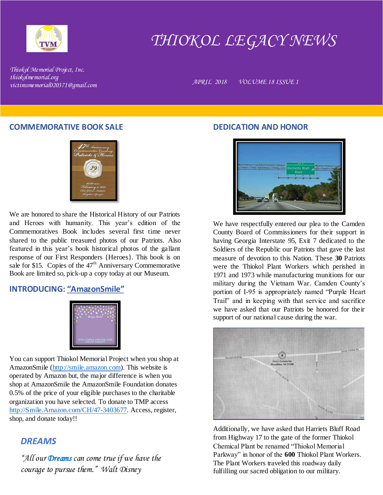

# *THIOKOL LEGACY NEWS*

*Thiokol Memorial Project, Inc. thiokolmemorial.org victimsmemorial020371@gmail.com APRIL 2018 VOLUME 18 ISSUE 1*

#### **COMMEMORATIVE BOOK SALE**



We are honored to share the Historical History of our Patriots and Heroes with humanity. This year's edition of the Commemoratives Book includes several first time never shared to the public treasured photos of our Patriots. Also featured in this year's book historical photos of the gallant response of our First Responders {Heroes}. This book is on sale for \$15. Copies of the 47<sup>th</sup> Anniversary Commemorative Book are limited so, pick-up a copy today at our Museum.

# **INTRODUCING: "AmazonSmile"**



You can support Thiokol Memorial Project when you shop at AmazonSmile [\(http://smile.amazon.com\)](http://smile.amazon.com/). This website is operated by Amazon but, the major difference is when you shop at AmazonSmile the AmazonSmile Foundation donates 0.5% of the price of your eligible purchases to the charitable organization you have selected. To donate to TMP access [http://Smile.Amazon.com/CH/47-3403677.](http://smile.amazon.com/CH/47-3403677) Access, register, shop, and donate today!!

# *DREAMS*

*"All our Dreams can come true if we have the courage to pursue them." Walt Disney*

## **DEDICATION AND HONOR**



We have respectfully entered our plea to the Camden County Board of Commissioners for their support in having Georgia Interstate 95, Exit 7 dedicated to the Soldiers of the Republic our Patriots that gave the last measure of devotion to this Nation. These **30** Patriots were the Thiokol Plant Workers which perished in 1971 and 1973 while manufacturing munitions for our military during the Vietnam War. Camden County's portion of I-95 is appropriately named "Purple Heart Trail" and in keeping with that service and sacrifice we have asked that our Patriots be honored for their support of our national cause during the war.



Additionally, we have asked that Harriets Bluff Road from Highway 17 to the gate of the former Thiokol Chemical Plant be renamed "Thiokol Memorial Parkway" in honor of the **600** Thiokol Plant Workers. The Plant Workers traveled this roadway daily fulfilling our sacred obligation to our military.